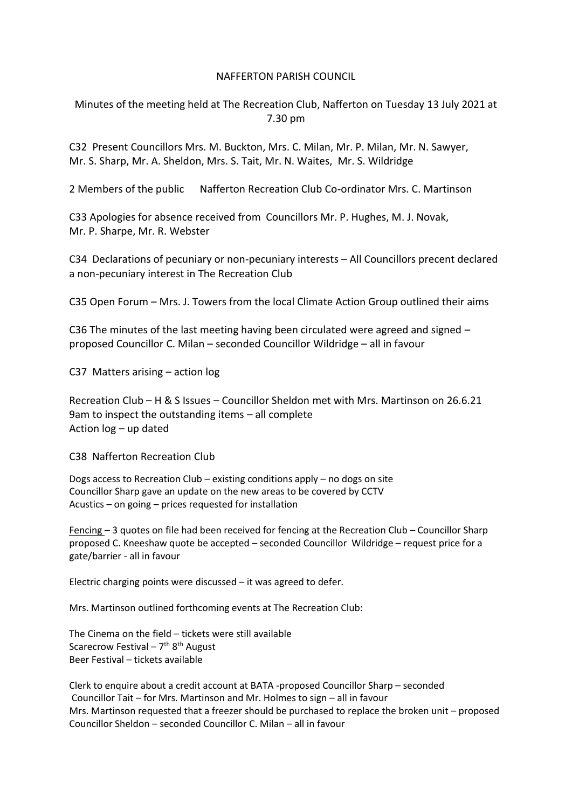### NAFFERTON PARISH COUNCIL

Minutes of the meeting held at The Recreation Club, Nafferton on Tuesday 13 July 2021 at 7.30 pm

C32 Present Councillors Mrs. M. Buckton, Mrs. C. Milan, Mr. P. Milan, Mr. N. Sawyer, Mr. S. Sharp, Mr. A. Sheldon, Mrs. S. Tait, Mr. N. Waites, Mr. S. Wildridge

2 Members of the public Nafferton Recreation Club Co-ordinator Mrs. C. Martinson

C33 Apologies for absence received from Councillors Mr. P. Hughes, M. J. Novak, Mr. P. Sharpe, Mr. R. Webster

C34 Declarations of pecuniary or non-pecuniary interests – All Councillors precent declared a non-pecuniary interest in The Recreation Club

C35 Open Forum – Mrs. J. Towers from the local Climate Action Group outlined their aims

C36 The minutes of the last meeting having been circulated were agreed and signed – proposed Councillor C. Milan – seconded Councillor Wildridge – all in favour

C37 Matters arising – action log

Recreation Club – H & S Issues – Councillor Sheldon met with Mrs. Martinson on 26.6.21 9am to inspect the outstanding items – all complete Action log – up dated

C38 Nafferton Recreation Club

Dogs access to Recreation Club – existing conditions apply – no dogs on site Councillor Sharp gave an update on the new areas to be covered by CCTV Acustics – on going – prices requested for installation

Fencing – 3 quotes on file had been received for fencing at the Recreation Club – Councillor Sharp proposed C. Kneeshaw quote be accepted – seconded Councillor Wildridge – request price for a gate/barrier - all in favour

Electric charging points were discussed – it was agreed to defer.

Mrs. Martinson outlined forthcoming events at The Recreation Club:

The Cinema on the field – tickets were still available Scarecrow Festival – 7<sup>th</sup> 8<sup>th</sup> August Beer Festival – tickets available

Clerk to enquire about a credit account at BATA -proposed Councillor Sharp – seconded Councillor Tait – for Mrs. Martinson and Mr. Holmes to sign – all in favour Mrs. Martinson requested that a freezer should be purchased to replace the broken unit – proposed Councillor Sheldon – seconded Councillor C. Milan – all in favour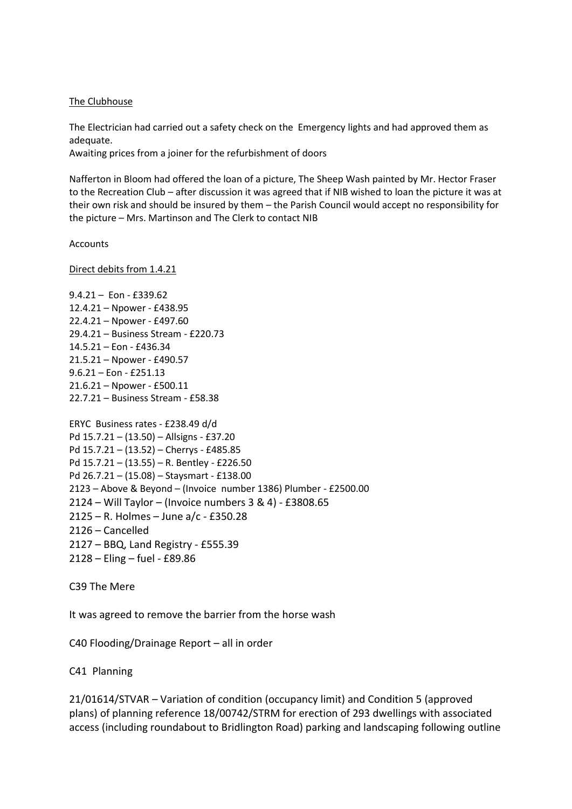#### The Clubhouse

The Electrician had carried out a safety check on the Emergency lights and had approved them as adequate.

Awaiting prices from a joiner for the refurbishment of doors

Nafferton in Bloom had offered the loan of a picture, The Sheep Wash painted by Mr. Hector Fraser to the Recreation Club – after discussion it was agreed that if NIB wished to loan the picture it was at their own risk and should be insured by them – the Parish Council would accept no responsibility for the picture – Mrs. Martinson and The Clerk to contact NIB

Accounts

Direct debits from 1.4.21

9.4.21 – Eon - £339.62 12.4.21 – Npower - £438.95 22.4.21 – Npower - £497.60 29.4.21 – Business Stream - £220.73 14.5.21 – Eon - £436.34 21.5.21 – Npower - £490.57 9.6.21 – Eon - £251.13 21.6.21 – Npower - £500.11 22.7.21 – Business Stream - £58.38 ERYC Business rates - £238.49 d/d Pd 15.7.21 – (13.50) – Allsigns - £37.20 Pd 15.7.21 – (13.52) – Cherrys - £485.85

Pd 15.7.21 – (13.55) – R. Bentley - £226.50 Pd 26.7.21 – (15.08) – Staysmart - £138.00 – Above & Beyond – (Invoice number 1386) Plumber - £2500.00 – Will Taylor – (Invoice numbers 3 & 4) - £3808.65 – R. Holmes – June a/c - £350.28 – Cancelled – BBQ, Land Registry - £555.39 – Eling – fuel - £89.86

C39 The Mere

It was agreed to remove the barrier from the horse wash

C40 Flooding/Drainage Report – all in order

C41 Planning

21/01614/STVAR – Variation of condition (occupancy limit) and Condition 5 (approved plans) of planning reference 18/00742/STRM for erection of 293 dwellings with associated access (including roundabout to Bridlington Road) parking and landscaping following outline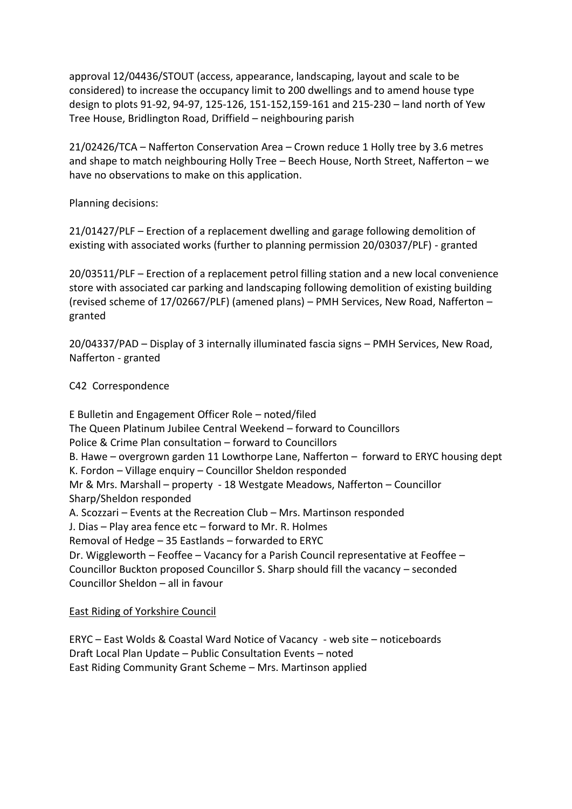approval 12/04436/STOUT (access, appearance, landscaping, layout and scale to be considered) to increase the occupancy limit to 200 dwellings and to amend house type design to plots 91-92, 94-97, 125-126, 151-152,159-161 and 215-230 – land north of Yew Tree House, Bridlington Road, Driffield – neighbouring parish

21/02426/TCA – Nafferton Conservation Area – Crown reduce 1 Holly tree by 3.6 metres and shape to match neighbouring Holly Tree – Beech House, North Street, Nafferton – we have no observations to make on this application.

Planning decisions:

21/01427/PLF – Erection of a replacement dwelling and garage following demolition of existing with associated works (further to planning permission 20/03037/PLF) - granted

20/03511/PLF – Erection of a replacement petrol filling station and a new local convenience store with associated car parking and landscaping following demolition of existing building (revised scheme of 17/02667/PLF) (amened plans) – PMH Services, New Road, Nafferton – granted

20/04337/PAD – Display of 3 internally illuminated fascia signs – PMH Services, New Road, Nafferton - granted

# C42 Correspondence

E Bulletin and Engagement Officer Role – noted/filed The Queen Platinum Jubilee Central Weekend – forward to Councillors Police & Crime Plan consultation – forward to Councillors B. Hawe – overgrown garden 11 Lowthorpe Lane, Nafferton – forward to ERYC housing dept K. Fordon – Village enquiry – Councillor Sheldon responded Mr & Mrs. Marshall – property - 18 Westgate Meadows, Nafferton – Councillor Sharp/Sheldon responded A. Scozzari – Events at the Recreation Club – Mrs. Martinson responded J. Dias – Play area fence etc – forward to Mr. R. Holmes Removal of Hedge – 35 Eastlands – forwarded to ERYC Dr. Wiggleworth – Feoffee – Vacancy for a Parish Council representative at Feoffee – Councillor Buckton proposed Councillor S. Sharp should fill the vacancy – seconded Councillor Sheldon – all in favour

## East Riding of Yorkshire Council

ERYC – East Wolds & Coastal Ward Notice of Vacancy - web site – noticeboards Draft Local Plan Update – Public Consultation Events – noted East Riding Community Grant Scheme – Mrs. Martinson applied